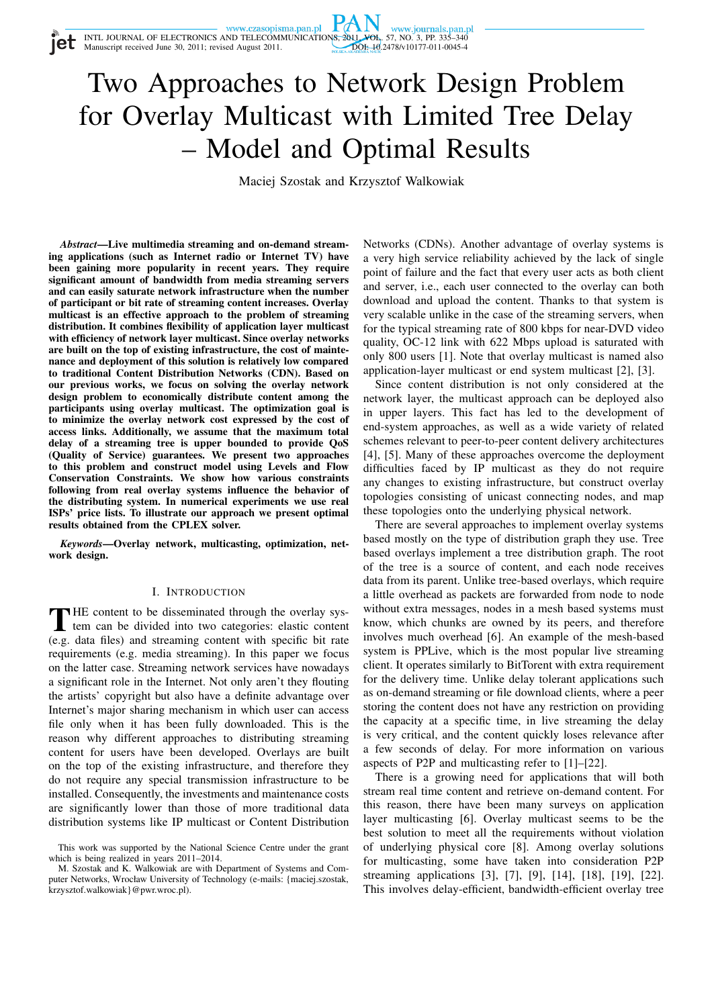INTL JOURNAL OF ELECTRONICS AND TELECOMMUNICATIONS, 2011, VOL. 57, NO. 3, PP. 335–340<br>Manuscript received June 30, 2011; revised August 2011. DOI: 10.2478/v10177-011-0045-4

# Two Approaches to Network Design Problem for Overlay Multicast with Limited Tree Delay – Model and Optimal Results

PAN

Maciej Szostak and Krzysztof Walkowiak

*Abstract***—Live multimedia streaming and on-demand streaming applications (such as Internet radio or Internet TV) have been gaining more popularity in recent years. They require significant amount of bandwidth from media streaming servers and can easily saturate network infrastructure when the number of participant or bit rate of streaming content increases. Overlay multicast is an effective approach to the problem of streaming distribution. It combines flexibility of application layer multicast with efficiency of network layer multicast. Since overlay networks are built on the top of existing infrastructure, the cost of maintenance and deployment of this solution is relatively low compared to traditional Content Distribution Networks (CDN). Based on our previous works, we focus on solving the overlay network design problem to economically distribute content among the participants using overlay multicast. The optimization goal is to minimize the overlay network cost expressed by the cost of access links. Additionally, we assume that the maximum total delay of a streaming tree is upper bounded to provide QoS (Quality of Service) guarantees. We present two approaches to this problem and construct model using Levels and Flow Conservation Constraints. We show how various constraints following from real overlay systems influence the behavior of the distributing system. In numerical experiments we use real ISPs' price lists. To illustrate our approach we present optimal results obtained from the CPLEX solver.**

*Keywords***—Overlay network, multicasting, optimization, network design.**

#### I. INTRODUCTION

**T** HE content to be disseminated through the overlay system can be divided into two categories: elastic content tem can be divided into two categories: elastic content (e.g. data files) and streaming content with specific bit rate requirements (e.g. media streaming). In this paper we focus on the latter case. Streaming network services have nowadays a significant role in the Internet. Not only aren't they flouting the artists' copyright but also have a definite advantage over Internet's major sharing mechanism in which user can access file only when it has been fully downloaded. This is the reason why different approaches to distributing streaming content for users have been developed. Overlays are built on the top of the existing infrastructure, and therefore they do not require any special transmission infrastructure to be installed. Consequently, the investments and maintenance costs are significantly lower than those of more traditional data distribution systems like IP multicast or Content Distribution Networks (CDNs). Another advantage of overlay systems is a very high service reliability achieved by the lack of single point of failure and the fact that every user acts as both client and server, i.e., each user connected to the overlay can both download and upload the content. Thanks to that system is very scalable unlike in the case of the streaming servers, when for the typical streaming rate of 800 kbps for near-DVD video quality, OC-12 link with 622 Mbps upload is saturated with only 800 users [1]. Note that overlay multicast is named also application-layer multicast or end system multicast [2], [3].

Since content distribution is not only considered at the network layer, the multicast approach can be deployed also in upper layers. This fact has led to the development of end-system approaches, as well as a wide variety of related schemes relevant to peer-to-peer content delivery architectures [4], [5]. Many of these approaches overcome the deployment difficulties faced by IP multicast as they do not require any changes to existing infrastructure, but construct overlay topologies consisting of unicast connecting nodes, and map these topologies onto the underlying physical network.

There are several approaches to implement overlay systems based mostly on the type of distribution graph they use. Tree based overlays implement a tree distribution graph. The root of the tree is a source of content, and each node receives data from its parent. Unlike tree-based overlays, which require a little overhead as packets are forwarded from node to node without extra messages, nodes in a mesh based systems must know, which chunks are owned by its peers, and therefore involves much overhead [6]. An example of the mesh-based system is PPLive, which is the most popular live streaming client. It operates similarly to BitTorent with extra requirement for the delivery time. Unlike delay tolerant applications such as on-demand streaming or file download clients, where a peer storing the content does not have any restriction on providing the capacity at a specific time, in live streaming the delay is very critical, and the content quickly loses relevance after a few seconds of delay. For more information on various aspects of P2P and multicasting refer to [1]–[22].

There is a growing need for applications that will both stream real time content and retrieve on-demand content. For this reason, there have been many surveys on application layer multicasting [6]. Overlay multicast seems to be the best solution to meet all the requirements without violation of underlying physical core [8]. Among overlay solutions for multicasting, some have taken into consideration P2P streaming applications [3], [7], [9], [14], [18], [19], [22]. This involves delay-efficient, bandwidth-efficient overlay tree

This work was supported by the National Science Centre under the grant which is being realized in years 2011–2014.

M. Szostak and K. Walkowiak are with Department of Systems and Computer Networks, Wrocław University of Technology (e-mails: {maciej.szostak, krzysztof.walkowiak}@pwr.wroc.pl).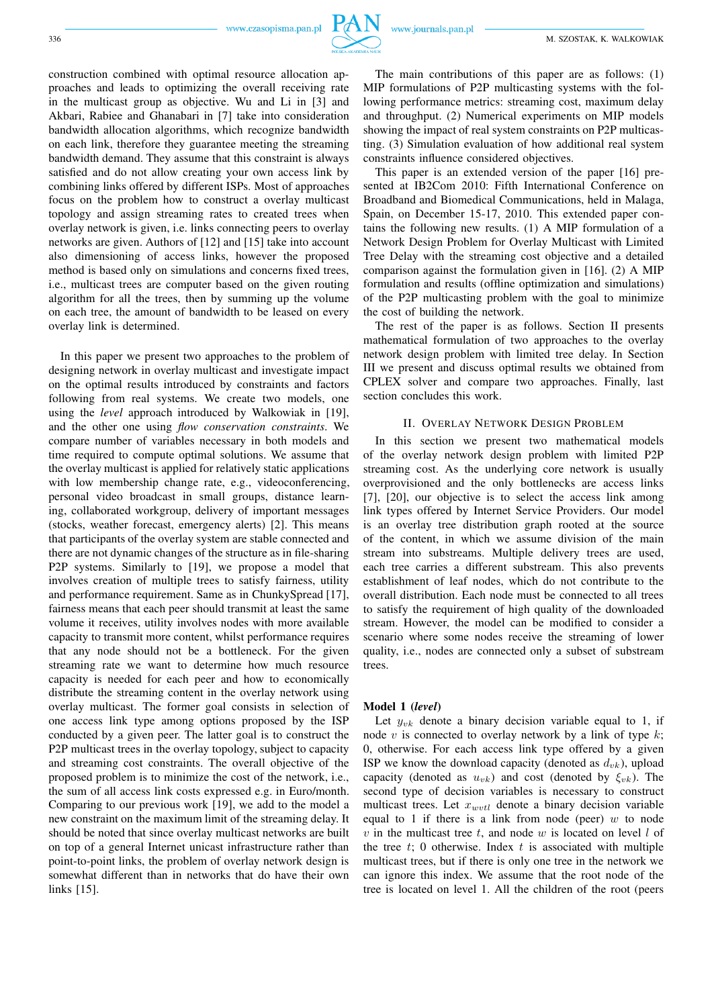construction combined with optimal resource allocation approaches and leads to optimizing the overall receiving rate in the multicast group as objective. Wu and Li in [3] and Akbari, Rabiee and Ghanabari in [7] take into consideration bandwidth allocation algorithms, which recognize bandwidth on each link, therefore they guarantee meeting the streaming bandwidth demand. They assume that this constraint is always satisfied and do not allow creating your own access link by combining links offered by different ISPs. Most of approaches focus on the problem how to construct a overlay multicast topology and assign streaming rates to created trees when overlay network is given, i.e. links connecting peers to overlay networks are given. Authors of [12] and [15] take into account also dimensioning of access links, however the proposed method is based only on simulations and concerns fixed trees, i.e., multicast trees are computer based on the given routing algorithm for all the trees, then by summing up the volume on each tree, the amount of bandwidth to be leased on every overlay link is determined.

In this paper we present two approaches to the problem of designing network in overlay multicast and investigate impact on the optimal results introduced by constraints and factors following from real systems. We create two models, one using the *level* approach introduced by Walkowiak in [19], and the other one using *flow conservation constraints*. We compare number of variables necessary in both models and time required to compute optimal solutions. We assume that the overlay multicast is applied for relatively static applications with low membership change rate, e.g., videoconferencing, personal video broadcast in small groups, distance learning, collaborated workgroup, delivery of important messages (stocks, weather forecast, emergency alerts) [2]. This means that participants of the overlay system are stable connected and there are not dynamic changes of the structure as in file-sharing P2P systems. Similarly to [19], we propose a model that involves creation of multiple trees to satisfy fairness, utility and performance requirement. Same as in ChunkySpread [17], fairness means that each peer should transmit at least the same volume it receives, utility involves nodes with more available capacity to transmit more content, whilst performance requires that any node should not be a bottleneck. For the given streaming rate we want to determine how much resource capacity is needed for each peer and how to economically distribute the streaming content in the overlay network using overlay multicast. The former goal consists in selection of one access link type among options proposed by the ISP conducted by a given peer. The latter goal is to construct the P2P multicast trees in the overlay topology, subject to capacity and streaming cost constraints. The overall objective of the proposed problem is to minimize the cost of the network, i.e., the sum of all access link costs expressed e.g. in Euro/month. Comparing to our previous work [19], we add to the model a new constraint on the maximum limit of the streaming delay. It should be noted that since overlay multicast networks are built on top of a general Internet unicast infrastructure rather than point-to-point links, the problem of overlay network design is somewhat different than in networks that do have their own links [15].

The main contributions of this paper are as follows: (1) MIP formulations of P2P multicasting systems with the following performance metrics: streaming cost, maximum delay and throughput. (2) Numerical experiments on MIP models showing the impact of real system constraints on P2P multicasting. (3) Simulation evaluation of how additional real system constraints influence considered objectives.

This paper is an extended version of the paper [16] presented at IB2Com 2010: Fifth International Conference on Broadband and Biomedical Communications, held in Malaga, Spain, on December 15-17, 2010. This extended paper contains the following new results. (1) A MIP formulation of a Network Design Problem for Overlay Multicast with Limited Tree Delay with the streaming cost objective and a detailed comparison against the formulation given in [16]. (2) A MIP formulation and results (offline optimization and simulations) of the P2P multicasting problem with the goal to minimize the cost of building the network.

The rest of the paper is as follows. Section II presents mathematical formulation of two approaches to the overlay network design problem with limited tree delay. In Section III we present and discuss optimal results we obtained from CPLEX solver and compare two approaches. Finally, last section concludes this work.

# II. OVERLAY NETWORK DESIGN PROBLEM

In this section we present two mathematical models of the overlay network design problem with limited P2P streaming cost. As the underlying core network is usually overprovisioned and the only bottlenecks are access links [7], [20], our objective is to select the access link among link types offered by Internet Service Providers. Our model is an overlay tree distribution graph rooted at the source of the content, in which we assume division of the main stream into substreams. Multiple delivery trees are used, each tree carries a different substream. This also prevents establishment of leaf nodes, which do not contribute to the overall distribution. Each node must be connected to all trees to satisfy the requirement of high quality of the downloaded stream. However, the model can be modified to consider a scenario where some nodes receive the streaming of lower quality, i.e., nodes are connected only a subset of substream trees.

#### **Model 1 (***level***)**

Let  $y_{nk}$  denote a binary decision variable equal to 1, if node  $v$  is connected to overlay network by a link of type  $k$ ; 0, otherwise. For each access link type offered by a given ISP we know the download capacity (denoted as  $d_{vk}$ ), upload capacity (denoted as  $u_{vk}$ ) and cost (denoted by  $\xi_{vk}$ ). The second type of decision variables is necessary to construct multicast trees. Let  $x_{wvtl}$  denote a binary decision variable equal to 1 if there is a link from node (peer)  $w$  to node  $v$  in the multicast tree  $t$ , and node  $w$  is located on level  $l$  of the tree  $t$ ; 0 otherwise. Index  $t$  is associated with multiple multicast trees, but if there is only one tree in the network we can ignore this index. We assume that the root node of the tree is located on level 1. All the children of the root (peers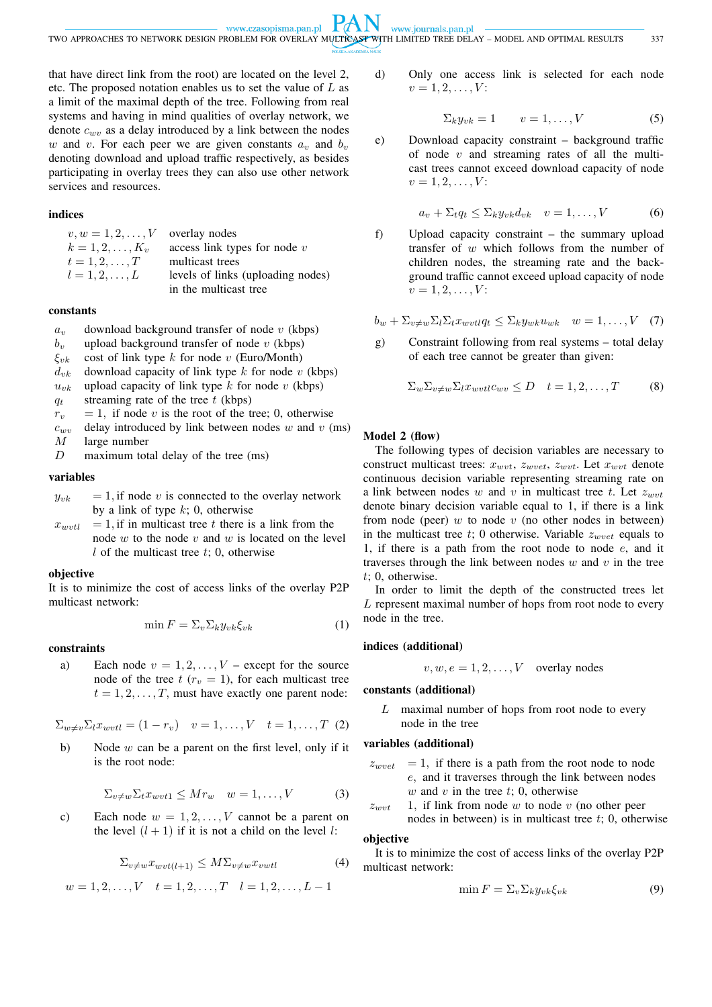**PAN** www.czasopisma.pan.pl

www.journals.pan.pl TWO APPROACHES TO NETWORK DESIGN PROBLEM FOR OVERLAY MULTICAST WITH LIMITED TREE DELAY – MODEL AND OPTIMAL RESULTS 337

that have direct link from the root) are located on the level 2, etc. The proposed notation enables us to set the value of L as a limit of the maximal depth of the tree. Following from real systems and having in mind qualities of overlay network, we denote  $c_{ww}$  as a delay introduced by a link between the nodes w and v. For each peer we are given constants  $a_v$  and  $b_v$ denoting download and upload traffic respectively, as besides participating in overlay trees they can also use other network services and resources.

#### **indices**

 $v, w = 1, 2, \dots, V$  overlay nodes  $k = 1, 2, \dots, K_v$  access link types for node v  $t = 1, 2, \dots, T$  multicast trees  $l = 1, 2, \dots, L$  levels of links (uploading nodes) in the multicast tree

#### **constants**

- $a_v$  download background transfer of node v (kbps)
- $b_v$  upload background transfer of node v (kbps)
- $\xi_{vk}$  cost of link type k for node v (Euro/Month)
- $d_{vk}$  download capacity of link type k for node v (kbps)
- $u_{vk}$  upload capacity of link type k for node v (kbps)
- $q_t$  streaming rate of the tree t (kbps)
- $r_v$  = 1, if node v is the root of the tree; 0, otherwise
- $c_{wv}$  delay introduced by link between nodes w and v (ms)
- $M$  large number
- $D$  maximum total delay of the tree (ms)

# **variables**

- $y_{vk}$  = 1, if node v is connected to the overlay network by a link of type  $k$ ; 0, otherwise
- $x<sub>wvtl</sub> = 1$ , if in multicast tree t there is a link from the node  $w$  to the node  $v$  and  $w$  is located on the level  $l$  of the multicast tree  $t$ ; 0, otherwise

#### **objective**

It is to minimize the cost of access links of the overlay P2P multicast network:

$$
\min F = \sum_{v} \sum_{k} y_{vk} \xi_{vk} \tag{1}
$$

#### **constraints**

a) Each node  $v = 1, 2, \ldots, V$  – except for the source node of the tree  $t$  ( $r_v = 1$ ), for each multicast tree  $t = 1, 2, \ldots, T$ , must have exactly one parent node:

 $\Sigma_{w \neq v} \Sigma_l x_{wvtl} = (1 - r_v)$   $v = 1, ..., V$   $t = 1, ..., T$  (2)

b) Node  $w$  can be a parent on the first level, only if it is the root node:

$$
\Sigma_{v \neq w} \Sigma_t x_{wvt1} \leq Mr_w \quad w = 1, \dots, V \tag{3}
$$

c) Each node  $w = 1, 2, \dots, V$  cannot be a parent on the level  $(l + 1)$  if it is not a child on the level l:

$$
\sum_{v \neq w} x_{wvt(l+1)} \le M \sum_{v \neq w} x_{vwtl} \tag{4}
$$

$$
w = 1, 2, ..., V
$$
  $t = 1, 2, ..., T$   $l = 1, 2, ..., L - 1$ 

d) Only one access link is selected for each node  $v = 1, 2, \ldots, V$ :

$$
\Sigma_k y_{vk} = 1 \qquad v = 1, \dots, V \tag{5}
$$

e) Download capacity constraint – background traffic of node  $v$  and streaming rates of all the multicast trees cannot exceed download capacity of node  $v = 1, 2, \ldots, V$ :

$$
a_v + \Sigma_t q_t \leq \Sigma_k y_{vk} d_{vk} \quad v = 1, \dots, V \tag{6}
$$

f) Upload capacity constraint – the summary upload transfer of w which follows from the number of children nodes, the streaming rate and the background traffic cannot exceed upload capacity of node  $v = 1, 2, \ldots, V$ :

$$
b_w + \sum_{v \neq w} \sum_l \sum_{t} x_{wvtl} q_t \leq \sum_k y_{wk} u_{wk} \quad w = 1, \dots, V \quad (7)
$$

g) Constraint following from real systems – total delay of each tree cannot be greater than given:

$$
\sum_{w} \sum_{v \neq w} \sum_{l} x_{wvtl} c_{wv} \leq D \quad t = 1, 2, \dots, T \tag{8}
$$

## **Model 2 (flow)**

The following types of decision variables are necessary to construct multicast trees:  $x_{wvt}$ ,  $z_{wvt}$ ,  $z_{wvt}$ . Let  $x_{wvt}$  denote continuous decision variable representing streaming rate on a link between nodes w and v in multicast tree t. Let  $z_{wvt}$ denote binary decision variable equal to 1, if there is a link from node (peer)  $w$  to node  $v$  (no other nodes in between) in the multicast tree  $t$ ; 0 otherwise. Variable  $z_{wvet}$  equals to 1, if there is a path from the root node to node  $e$ , and it traverses through the link between nodes  $w$  and  $v$  in the tree t; 0, otherwise.

In order to limit the depth of the constructed trees let L represent maximal number of hops from root node to every node in the tree.

#### **indices (additional)**

$$
v, w, e = 1, 2, \dots, V
$$
 overlap nodes

#### **constants (additional)**

 $L$  maximal number of hops from root node to every node in the tree

#### **variables (additional)**

 $z_{wvet}$  = 1, if there is a path from the root node to node e, and it traverses through the link between nodes  $w$  and  $v$  in the tree  $t$ ; 0, otherwise

 $z_{wvt}$  1, if link from node w to node v (no other peer nodes in between) is in multicast tree  $t$ ; 0, otherwise

#### **objective**

It is to minimize the cost of access links of the overlay P2P multicast network:

$$
\min F = \sum_{v} \sum_{k} y_{vk} \xi_{vk} \tag{9}
$$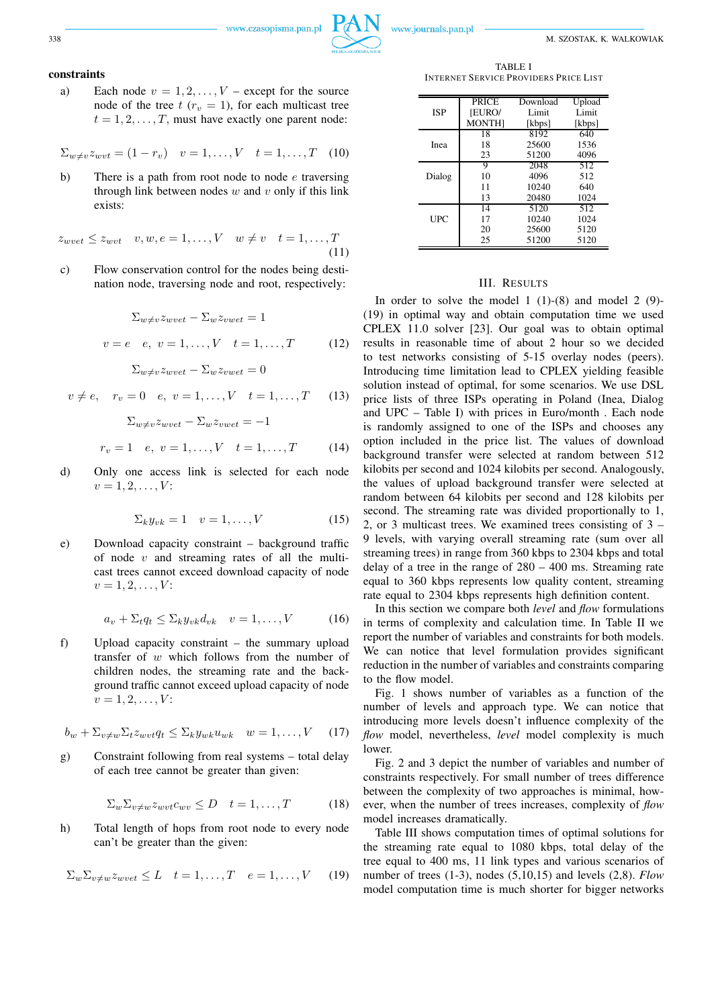www.czasopisma.pan.pl



TABLE I INTERNET SERVICE PROVIDERS PRICE LIST

|            | <b>PRICE</b> | Download | Upload |
|------------|--------------|----------|--------|
| <b>ISP</b> | <b>EURO</b>  | Limit    | Limit  |
|            | <b>MONTH</b> | [kbps]   | [kbps] |
|            | 18           | 8192     | 640    |
| Inea       | 18           | 25600    | 1536   |
|            | 23           | 51200    | 4096   |
|            | 9            | 2048     | 512    |
| Dialog     | 10           | 4096     | 512    |
|            | 11           | 10240    | 640    |
|            | 13           | 20480    | 1024   |
|            | 14           | 5120     | 512    |
| UPC        | 17           | 10240    | 1024   |
|            | 20           | 25600    | 5120   |
|            | 25           | 51200    | 5120   |

# III. RESULTS

In order to solve the model  $1$  (1)-(8) and model  $2$  (9)-(19) in optimal way and obtain computation time we used CPLEX 11.0 solver [23]. Our goal was to obtain optimal results in reasonable time of about 2 hour so we decided to test networks consisting of 5-15 overlay nodes (peers). Introducing time limitation lead to CPLEX yielding feasible solution instead of optimal, for some scenarios. We use DSL price lists of three ISPs operating in Poland (Inea, Dialog and UPC – Table I) with prices in Euro/month . Each node is randomly assigned to one of the ISPs and chooses any option included in the price list. The values of download background transfer were selected at random between 512 kilobits per second and 1024 kilobits per second. Analogously, the values of upload background transfer were selected at random between 64 kilobits per second and 128 kilobits per second. The streaming rate was divided proportionally to 1, 2, or 3 multicast trees. We examined trees consisting of 3 – 9 levels, with varying overall streaming rate (sum over all streaming trees) in range from 360 kbps to 2304 kbps and total delay of a tree in the range of 280 – 400 ms. Streaming rate equal to 360 kbps represents low quality content, streaming rate equal to 2304 kbps represents high definition content.

In this section we compare both *level* and *flow* formulations in terms of complexity and calculation time. In Table II we report the number of variables and constraints for both models. We can notice that level formulation provides significant reduction in the number of variables and constraints comparing to the flow model.

Fig. 1 shows number of variables as a function of the number of levels and approach type. We can notice that introducing more levels doesn't influence complexity of the *flow* model, nevertheless, *level* model complexity is much lower.

Fig. 2 and 3 depict the number of variables and number of constraints respectively. For small number of trees difference between the complexity of two approaches is minimal, however, when the number of trees increases, complexity of *flow* model increases dramatically.

Table III shows computation times of optimal solutions for the streaming rate equal to 1080 kbps, total delay of the tree equal to 400 ms, 11 link types and various scenarios of number of trees (1-3), nodes (5,10,15) and levels (2,8). *Flow* model computation time is much shorter for bigger networks

**constraints**

a) Each node  $v = 1, 2, \ldots, V$  – except for the source node of the tree  $t$  ( $r_v = 1$ ), for each multicast tree  $t = 1, 2, \ldots, T$ , must have exactly one parent node:

$$
\Sigma_{w \neq v} z_{wvt} = (1 - r_v) \quad v = 1, \dots, V \quad t = 1, \dots, T \quad (10)
$$

b) There is a path from root node to node  $e$  traversing through link between nodes  $w$  and  $v$  only if this link exists:

$$
z_{wvet} \le z_{wvt} \quad v, w, e = 1, \dots, V \quad w \ne v \quad t = 1, \dots, T
$$
\n(11)

c) Flow conservation control for the nodes being destination node, traversing node and root, respectively:

$$
\Sigma_{w \neq v} z_{wvet} - \Sigma_{w} z_{vwet} = 1
$$
  

$$
v = e \quad e, \ v = 1, ..., V \quad t = 1, ..., T \quad (12)
$$
  

$$
\Sigma_{w \neq v} z_{wvet} - \Sigma_{w} z_{vwet} = 0
$$

$$
v \neq e
$$
,  $r_v = 0$   $e$ ,  $v = 1,...,V$   $t = 1,...,T$  (13)

$$
\Sigma_{w \neq v} z_{wvet} - \Sigma_w z_{wvet} = -1
$$
  

$$
r_v = 1 \quad e, \ v = 1, \dots, V \quad t = 1, \dots, T \tag{14}
$$

d) Only one access link is selected for each node  $v = 1, 2, \ldots, V$ :

$$
\Sigma_k y_{vk} = 1 \quad v = 1, \dots, V \tag{15}
$$

e) Download capacity constraint – background traffic of node  $v$  and streaming rates of all the multicast trees cannot exceed download capacity of node  $v = 1, 2, \ldots, V$ :

$$
a_v + \Sigma_t q_t \le \Sigma_k y_{vk} d_{vk} \quad v = 1, \dots, V \tag{16}
$$

f) Upload capacity constraint – the summary upload transfer of w which follows from the number of children nodes, the streaming rate and the background traffic cannot exceed upload capacity of node  $v = 1, 2, \ldots, V$ :

$$
b_w + \sum_{v \neq w} \sum_t z_{wvt} q_t \leq \sum_k y_{wk} u_{wk} \quad w = 1, \dots, V \quad (17)
$$

g) Constraint following from real systems – total delay of each tree cannot be greater than given:

$$
\Sigma_w \Sigma_{v \neq w} z_{wvt} c_{wv} \le D \quad t = 1, \dots, T \tag{18}
$$

h) Total length of hops from root node to every node can't be greater than the given:

$$
\Sigma_w \Sigma_{v \neq w} z_{wvet} \leq L \quad t = 1, \dots, T \quad e = 1, \dots, V \tag{19}
$$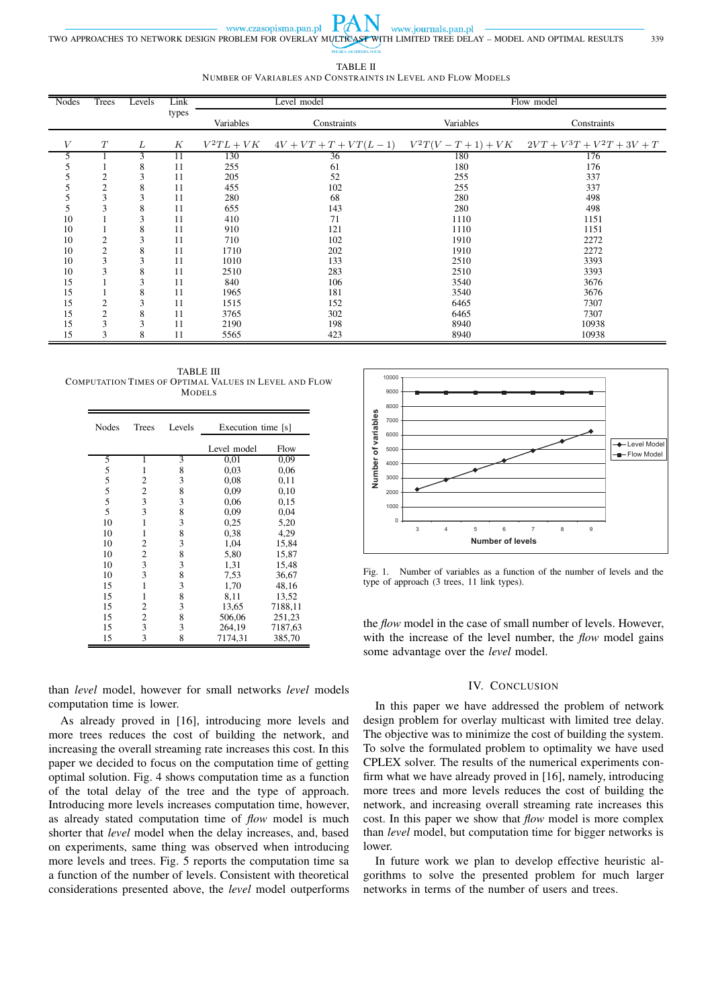# www.czasopisma.pan.pl

TWO APPROACHES TO NETWORK DESIGN PROBLEM FOR OVERLAY MULTICAST WITH LIMITED TREE DELAY – MODEL AND OPTIMAL RESULTS 339

www.journals.pan.pl

# TABLE II

NUMBER OF VARIABLES AND CONSTRAINTS IN LEVEL AND FLOW MODELS

| Nodes | Trees          | Levels | Link   | Level model |             | Flow model |                                                                         |
|-------|----------------|--------|--------|-------------|-------------|------------|-------------------------------------------------------------------------|
|       |                |        | types  | Variables   | Constraints | Variables  | Constraints                                                             |
| V     | T              | L      | $_{K}$ | $V^2TL+VK$  |             |            | $4V + VT + T + VT(L-1)$ $V^2T(V-T+1) + VK$ $2VT + V^3T + V^2T + 3V + T$ |
|       |                | 3      | 11     | 130         | 36          | 180        | 176                                                                     |
|       |                | 8      | 11     | 255         | 61          | 180        | 176                                                                     |
|       | $\overline{2}$ | 3      | 11     | 205         | 52          | 255        | 337                                                                     |
|       | 2              | 8      | 11     | 455         | 102         | 255        | 337                                                                     |
|       | 3              | 3      | 11     | 280         | 68          | 280        | 498                                                                     |
| 5     | 3              | 8      | 11     | 655         | 143         | 280        | 498                                                                     |
| 10    |                | 3      | 11     | 410         | 71          | 1110       | 1151                                                                    |
| 10    |                | 8      | 11     | 910         | 121         | 1110       | 1151                                                                    |
| 10    | 2              | 3      | 11     | 710         | 102         | 1910       | 2272                                                                    |
| 10    | 2              | 8      | 11     | 1710        | 202         | 1910       | 2272                                                                    |
| 10    | 3              | 3      | 11     | 1010        | 133         | 2510       | 3393                                                                    |
| 10    | 3              | 8      | 11     | 2510        | 283         | 2510       | 3393                                                                    |
| 15    | 1              | 3      | 11     | 840         | 106         | 3540       | 3676                                                                    |
| 15    |                | 8      | 11     | 1965        | 181         | 3540       | 3676                                                                    |
| 15    | $\overline{2}$ | 3      | 11     | 1515        | 152         | 6465       | 7307                                                                    |
| 15    | 2              | 8      | 11     | 3765        | 302         | 6465       | 7307                                                                    |
| 15    | 3              | 3      | 11     | 2190        | 198         | 8940       | 10938                                                                   |
| 15    | 3              | 8      | 11     | 5565        | 423         | 8940       | 10938                                                                   |

TABLE III COMPUTATION TIMES OF OPTIMAL VALUES IN LEVEL AND FLOW **MODELS** 

| Nodes | Trees        | Levels | Execution time [s] |         |
|-------|--------------|--------|--------------------|---------|
|       |              |        | Level model        | Flow    |
| 5     | 1            | 3      | 0,01               | 0,09    |
| 5     | 1            | 8      | 0.03               | 0,06    |
| 5     | 2            | 3      | 0.08               | 0,11    |
| 5     | 2            | 8      | 0.09               | 0,10    |
| 5     | 3            | 3      | 0,06               | 0,15    |
| 5     | 3            | 8      | 0.09               | 0,04    |
| 10    | $\mathbf{1}$ | 3      | 0,25               | 5,20    |
| 10    | 1            | 8      | 0.38               | 4,29    |
| 10    | 2            | 3      | 1,04               | 15,84   |
| 10    | 2            | 8      | 5,80               | 15,87   |
| 10    | 3            | 3      | 1,31               | 15,48   |
| 10    | 3            | 8      | 7,53               | 36,67   |
| 15    | 1            | 3      | 1,70               | 48,16   |
| 15    | 1            | 8      | 8,11               | 13,52   |
| 15    | 2            | 3      | 13,65              | 7188,11 |
| 15    | 2            | 8      | 506,06             | 251,23  |
| 15    | 3            | 3      | 264,19             | 7187,63 |
| 15    | 3            | 8      | 7174,31            | 385,70  |

than *level* model, however for small networks *level* models computation time is lower.

As already proved in [16], introducing more levels and more trees reduces the cost of building the network, and increasing the overall streaming rate increases this cost. In this paper we decided to focus on the computation time of getting optimal solution. Fig. 4 shows computation time as a function of the total delay of the tree and the type of approach. Introducing more levels increases computation time, however, as already stated computation time of *flow* model is much shorter that *level* model when the delay increases, and, based on experiments, same thing was observed when introducing more levels and trees. Fig. 5 reports the computation time sa a function of the number of levels. Consistent with theoretical considerations presented above, the *level* model outperforms



Fig. 1. Number of variables as a function of the number of levels and the type of approach (3 trees, 11 link types).

the *flow* model in the case of small number of levels. However, with the increase of the level number, the *flow* model gains some advantage over the *level* model.

# IV. CONCLUSION

In this paper we have addressed the problem of network design problem for overlay multicast with limited tree delay. The objective was to minimize the cost of building the system. To solve the formulated problem to optimality we have used CPLEX solver. The results of the numerical experiments confirm what we have already proved in [16], namely, introducing more trees and more levels reduces the cost of building the network, and increasing overall streaming rate increases this cost. In this paper we show that *flow* model is more complex than *level* model, but computation time for bigger networks is lower.

In future work we plan to develop effective heuristic algorithms to solve the presented problem for much larger networks in terms of the number of users and trees.